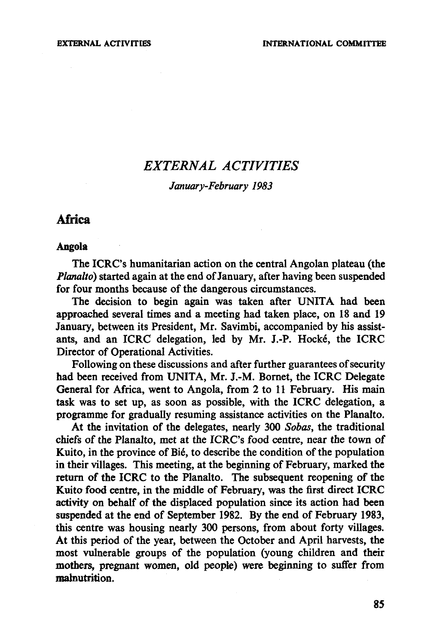# *EXTERNAL ACTIVITIES*

## *January-February 1983*

# Africa

#### **Angola**

The ICRC's humanitarian action on the central Angolan plateau (the *Planalto)* started again at the end of January, after having been suspended for four months because of the dangerous circumstances.

The decision to begin again was taken after UNITA had been approached several times and a meeting had taken place, on 18 and 19 January, between its President, Mr. Savimbi, accompanied by his assistants, and an ICRC delegation, led by Mr. J.-P. Hocke, the ICRC Director of Operational Activities.

Following on these discussions and after further guarantees of security had been received from UNITA, Mr. J.-M. Bornet, the ICRC Delegate General for Africa, went to Angola, from 2 to 11 February. His main task was to set up, as soon as possible, with the ICRC delegation, a programme for gradually resuming assistance activities on the Planalto.

At the invitation of the delegates, nearly 300 *Sobas,* the traditional chiefs of the Planalto, met at the ICRC's food centre, near the town of Kuito, in the province of Bié, to describe the condition of the population in their villages. This meeting, at the beginning of February, marked the return of the ICRC to the Planalto. The subsequent reopening of the Kuito food centre, in the middle of February, was the first direct ICRC activity on behalf of the displaced population since its action had been suspended at the end of September 1982. By the end of February 1983, this centre was housing nearly 300 persons, from about forty villages. At this period of the year, between the October and April harvests, the most vulnerable groups of the population (young children and their mothers, pregnant women, old people) were beginning to suffer from malnutrition.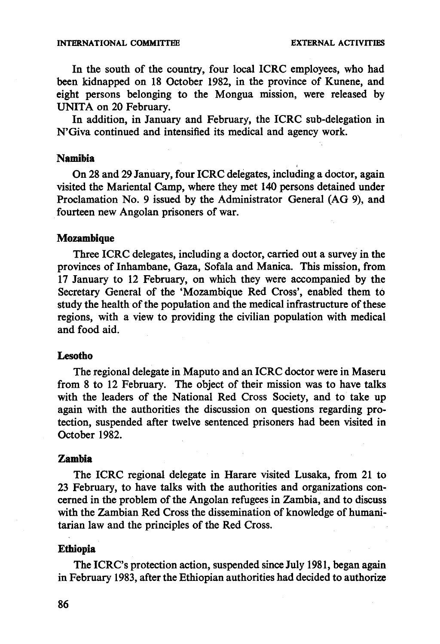In the south of the country, four local ICRC employees, who had been kidnapped on 18 October 1982, in the province of Kunene, and eight persons belonging to the Mongua mission, were released by UNITA on 20 February.

In addition, in January and February, the ICRC sub-delegation in N'Giva continued and intensified its medical and agency work.

## **Namibia**

On 28 and 29 January, four ICRC delegates, including a doctor, again visited the Mariental Camp, where they met 140 persons detained under Proclamation No. 9 issued by the Administrator General (AG 9), and fourteen new Angolan prisoners of war.

#### **Mozambique**

Three ICRC delegates, including a doctor, carried out a survey in the provinces of Inhambane, Gaza, Sofala and Manica. This mission, from 17 January to 12 February, on which they were accompanied by the Secretary General of the 'Mozambique Red Cross', enabled them to study the health of the population and the medical infrastructure of these regions, with a view to providing the civilian population with medical and food aid.

## **Lesotho**

The regional delegate in Maputo and an ICRC doctor were in Maseru from 8 to 12 February. The object of their mission was to have talks with the leaders of the National Red Cross Society, and to take up again with the authorities the discussion on questions regarding protection, suspended after twelve sentenced prisoners had been visited in October 1982.

#### **Zambia**

The ICRC regional delegate in Harare visited Lusaka, from 21 to 23 February, to have talks with the authorities and organizations concerned in the problem of the Angolan refugees in Zambia, and to discuss with the Zambian Red Cross the dissemination of knowledge of humanitarian law and the principles of the Red Cross.

#### **Ethiopia**

The ICRC's protection action, suspended since July 1981, began again in February 1983, after the Ethiopian authorities had decided to authorize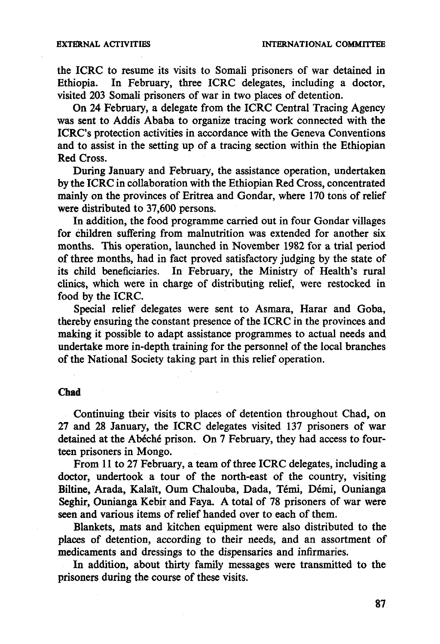the ICRC to resume its visits to Somali prisoners of war detained in Ethiopia. In February, three ICRC delegates, including a doctor. In February, three ICRC delegates, including a doctor, visited 203 Somali prisoners of war in two places of detention.

On 24 February, a delegate from the ICRC Central Tracing Agency was sent to Addis Ababa to organize tracing work connected with the ICRC's protection activities in accordance with the Geneva Conventions and to assist in the setting up of a tracing section within the Ethiopian Red Cross.

During January and February, the assistance operation, undertaken by the ICRC in collaboration with the Ethiopian Red Cross, concentrated mainly on the provinces of Eritrea and Gondar, where 170 tons of relief were distributed to 37,600 persons.

In addition, the food programme carried out in four Gondar villages for children suffering from malnutrition was extended for another six months. This operation, launched in November 1982 for a trial period of three months, had in fact proved satisfactory judging by the state of its child beneficiaries. In February, the Ministry of Health's rural clinics, which were in charge of distributing relief, were restocked in food by the ICRC.

Special relief delegates were sent to Asmara, Harar and Goba, thereby ensuring the constant presence of the ICRC in the provinces and making it possible to adapt assistance programmes to actual needs and undertake more in-depth training for the personnel of the local branches of the National Society taking part in this relief operation.

#### **Chad**

Continuing their visits to places of detention throughout Chad, on 27 and 28 January, the ICRC delegates visited 137 prisoners of war detained at the Abéché prison. On 7 February, they had access to fourteen prisoners in Mongo.

From 11 to 27 February, a team of three ICRC delegates, including a doctor, undertook a tour of the north-east of the country, visiting Biltine, Arada, Kalaït, Oum Chalouba, Dada, Témi, Démi, Ounianga Seghir, Ounianga Kebir and Faya. A total of 78 prisoners of war were seen and various items of relief handed over to each of them.

Blankets, mats and kitchen equipment were also distributed to the places of detention, according to their needs, and an assortment of medicaments and dressings to the dispensaries and infirmaries.

In addition, about thirty family messages were transmitted to the prisoners during the course of these visits.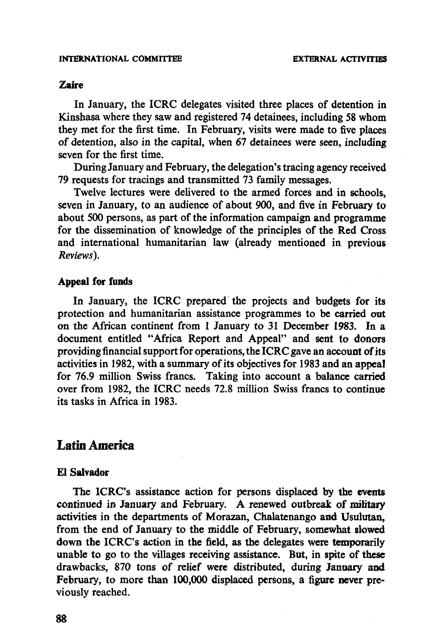## Zaire

In January, the ICRC delegates visited three places of detention in Kinshasa where they saw and registered 74 detainees, including 58 whom they met for the first time. In February, visits were made to five places of detention, also in the capital, when 67 detainees were seen, including seven for the first time.

During January and February, the delegation's tracing agency received 79 requests for tracings and transmitted 73 family messages.

Twelve lectures were delivered to the armed forces and in schools, seven in January, to an audience of about 900, and five in February to about 500 persons, as part of the information campaign and programme for the dissemination of knowledge of the principles of the Red Cross and international humanitarian law (already mentioned in previous *Reviews).*

## Appeal for funds

In January, the ICRC prepared the projects and budgets for its protection and humanitarian assistance programmes to be carried out on the African continent from 1 January to 31 December 1983. In a document entitled "Africa Report and Appeal" and sent to donors providing financial support for operations, the ICRC gave an account of its activities in 1982, with a summary of its objectives for 1983 and an appeal for 76.9 million Swiss francs. Taking into account a balance carried over from 1982, the ICRC needs 72.8 million Swiss francs to continue its tasks in Africa in 1983.

# Latin America

### £1 Salvador

The ICRC's assistance action for persons displaced by the events continued in January and February. A renewed outbreak of military activities in the departments of Morazan, Chalatenango and Usulutan, from the end of January to the middle of February, somewhat slowed down the ICRC's action in the field, as the delegates were temporarily unable to go to the villages receiving assistance. But, in spite of these drawbacks, 870 tons of relief were distributed, during January and February, to more than 100,000 displaced persons, a figure never previously reached.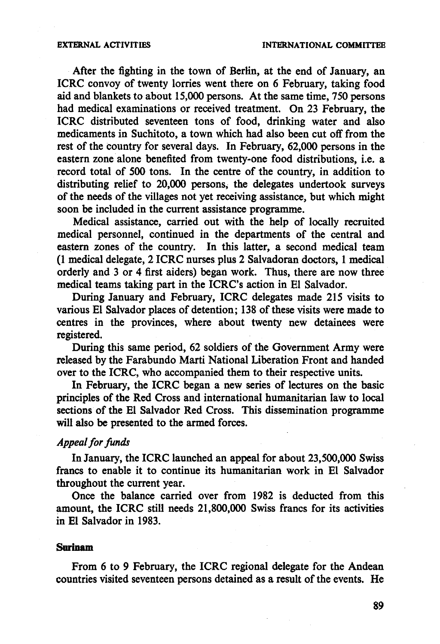After the fighting in the town of Berlin, at the end of January, an ICRC convoy of twenty lorries went there on 6 February, taking food aid and blankets to about 15,000 persons. At the same time, 750 persons had medical examinations or received treatment. On 23 February, the ICRC distributed seventeen tons of food, drinking water and also medicaments in Suchitoto, a town which had also been cut off from the rest of the country for several days. In February, 62,000 persons in the eastern zone alone benefited from twenty-one food distributions, i.e. a record total of 500 tons. In the centre of the country, in addition to distributing relief to 20,000 persons, the delegates undertook surveys of the needs of the villages not yet receiving assistance, but which might soon be included in the current assistance programme.

Medical assistance, carried out with the help of locally recruited medical personnel, continued in the departments of the central and eastern zones of the country. In this latter, a second medical team (1 medical delegate, 2 ICRC nurses plus 2 Salvadoran doctors, 1 medical orderly and 3 or 4 first aiders) began work. Thus, there are now three medical teams taking part in the ICRC's action in El Salvador.

During January and February, ICRC delegates made 215 visits to various El Salvador places of detention; 138 of these visits were made to centres in the provinces, where about twenty new detainees were registered.

During this same period, 62 soldiers of the Government Army were released by the Farabundo Marti National Liberation Front and handed over to the ICRC, who accompanied them to their respective units.

In February, the ICRC began a new series of lectures on the basic principles of the Red Cross and international humanitarian law to local sections of the El Salvador Red Cross. This dissemination programme will also be presented to the armed forces.

#### *Appeal for funds*

In January, the ICRC launched an appeal for about 23,500,000 Swiss francs to enable it to continue its humanitarian work in El Salvador throughout the current year.

Once the balance carried over from 1982 is deducted from this amount, the ICRC still needs 21,800,000 Swiss francs for its activities in El Salvador in 1983.

#### **Surinam**

From 6 to 9 February, the ICRC regional delegate for the Andean countries visited seventeen persons detained as a result of the events. He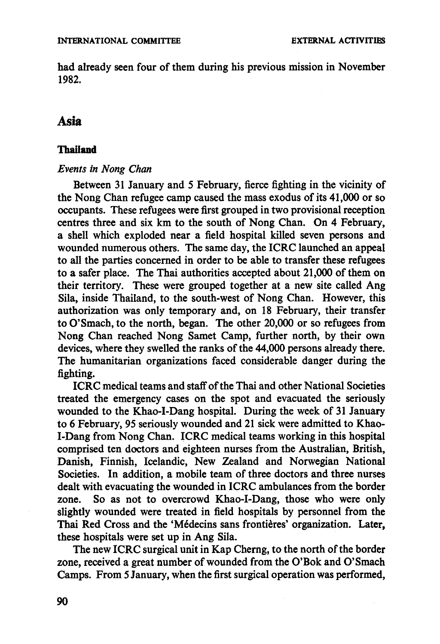had already seen four of them during his previous mission in November 1982.

# **Asia**

## **Thailand**

## *Events in Nong Chan*

Between 31 January and 5 February, fierce fighting in the vicinity of the Nong Chan refugee camp caused the mass exodus of its 41,000 or so occupants. These refugees were first grouped in two provisional reception centres three and six km to the south of Nong Chan. On 4 February, a shell which exploded near a field hospital killed seven persons and wounded numerous others. The same day, the ICRC launched an appeal to all the parties concerned in order to be able to transfer these refugees to a safer place. The Thai authorities accepted about 21,000 of them on their territory. These were grouped together at a new site called Ang Sila, inside Thailand, to the south-west of Nong Chan. However, this authorization was only temporary and, on 18 February, their transfer to O'Smach, to the north, began. The other 20,000 or so refugees from Nong Chan reached Nong Samet Camp, further north, by their own devices, where they swelled the ranks of the 44,000 persons already there. The humanitarian organizations faced considerable danger during the fighting.

ICRC medical teams and staff of the Thai and other National Societies treated the emergency cases on the spot and evacuated the seriously wounded to the Khao-I-Dang hospital. During the week of 31 January to 6 February, 95 seriously wounded and 21 sick were admitted to Khao-I-Dang from Nong Chan. ICRC medical teams working in this hospital comprised ten doctors and eighteen nurses from the Australian, British, Danish, Finnish, Icelandic, New Zealand and Norwegian National Societies. In addition, a mobile team of three doctors and three nurses dealt with evacuating the wounded in ICRC ambulances from the border zone. So as not to overcrowd Khao-I-Dang, those who were only slightly wounded were treated in field hospitals by personnel from the Thai Red Cross and the 'Médecins sans frontières' organization. Later, these hospitals were set up in Ang Sila.

The new ICRC surgical unit in Kap Cherng, to the north of the border zone, received a great number of wounded from the O'Bok and O'Smach Camps. From 5 January, when the first surgical operation was performed,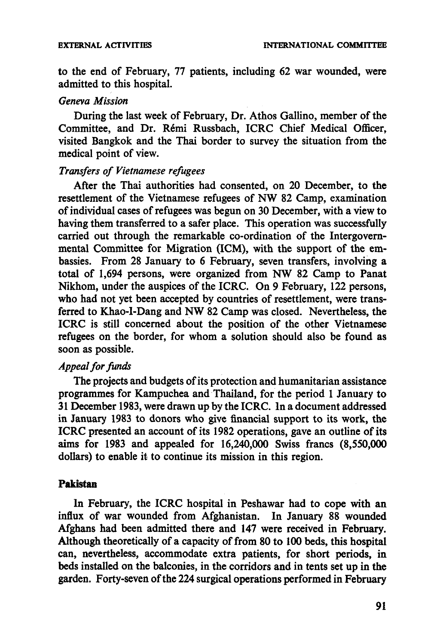to the end of February, 77 patients, including 62 war wounded, were admitted to this hospital.

## *Geneva Mission*

During the last week of February, Dr. Athos Gallino, member of the Committee, and Dr. Remi Russbach, ICRC Chief Medical Officer, visited Bangkok and the Thai border to survey the situation from the medical point of view.

# *Transfers of Vietnamese refugees*

After the Thai authorities had consented, on 20 December, to the resettlement of the Vietnamese refugees of NW 82 Camp, examination of individual cases of refugees was begun on 30 December, with a view to having them transferred to a safer place. This operation was successfully carried out through the remarkable co-ordination of the Intergovernmental Committee for Migration (ICM), with the support of the embassies. From 28 January to 6 February, seven transfers, involving a total of 1,694 persons, were organized from NW 82 Camp to Panat Nikhom, under the auspices of the ICRC. On 9 February, 122 persons, who had not yet been accepted by countries of resettlement, were transferred to Khao-I-Dang and NW 82 Camp was closed. Nevertheless, the ICRC is still concerned about the position of the other Vietnamese refugees on the border, for whom a solution should also be found as soon as possible.

## *Appeal for funds*

The projects and budgets of its protection and humanitarian assistance programmes for Kampuchea and Thailand, for the period 1 January to 31 December 1983, were drawn up by the ICRC. In a document addressed in January 1983 to donors who give financial support to its work, the ICRC presented an account of its 1982 operations, gave an outline of its aims for 1983 and appealed for 16,240,000 Swiss francs (8,550,000 dollars) to enable it to continue its mission in this region.

## **Pakistan**

In February, the ICRC hospital in Peshawar had to cope with an influx of war wounded from Afghanistan. In January 88 wounded Afghans had been admitted there and 147 were received in February. Although theoretically of a capacity of from 80 to 100 beds, this hospital can, nevertheless, accommodate extra patients, for short periods, in beds installed on the balconies, in the corridors and in tents set up in the garden. Forty-seven of the 224 surgical operations performed in February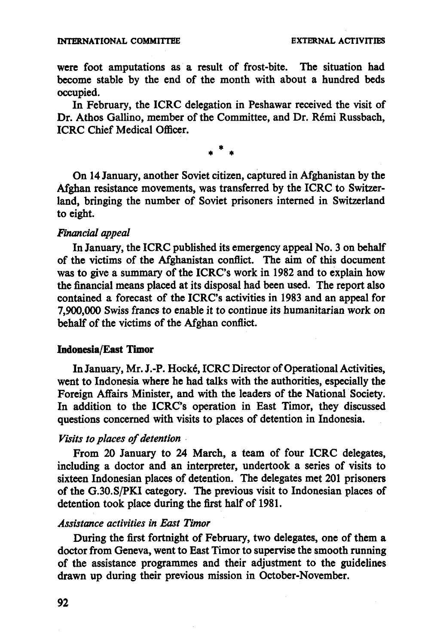## **INTERNATIONAL COMMITTEE EXTERNAL ACTIVITIES**

were foot amputations as a result of frost-bite. The situation had become stable by the end of the month with about a hundred beds occupied.

In February, the ICRC delegation in Peshawar received the visit of Dr. Athos Gallino, member of the Committee, and Dr. Remi Russbach, ICRC Chief Medical Officer.

**\***

On 14 January, another Soviet citizen, captured in Afghanistan by the Afghan resistance movements, was transferred by the ICRC to Switzerland, bringing the number of Soviet prisoners interned in Switzerland to eight.

#### *Financial appeal*

In January, the ICRC published its emergency appeal No. 3 on behalf of the victims of the Afghanistan conflict. The aim of this document was to give a summary of the ICRC's work in 1982 and to explain how the financial means placed at its disposal had been used. The report also contained a forecast of the ICRC's activities in 1983 and an appeal for 7,900,000 Swiss francs to enable it to continue its humanitarian work on behalf of the victims of the Afghan conflict.

## Indonesia/East Timor

In January, Mr. J.-P. Hocke, ICRC Director of Operational Activities, went to Indonesia where he had talks with the authorities, especially the Foreign Affairs Minister, and with the leaders of the National Society. In addition to the ICRC's operation in East Timor, they discussed questions concerned with visits to places of detention in Indonesia.

## *Visits to places of detention*

From 20 January to 24 March, a team of four ICRC delegates, including a doctor and an interpreter, undertook a series of visits to sixteen Indonesian places of detention. The delegates met 201 prisoners of the G.30.S/PKI category. The previous visit to Indonesian places of detention took place during the first half of 1981.

#### *Assistance activities in East Timor*

During the first fortnight of February, two delegates, one of them a doctor from Geneva, went to East Timor to supervise the smooth running of the assistance programmes and their adjustment to the guidelines drawn up during their previous mission in October-November.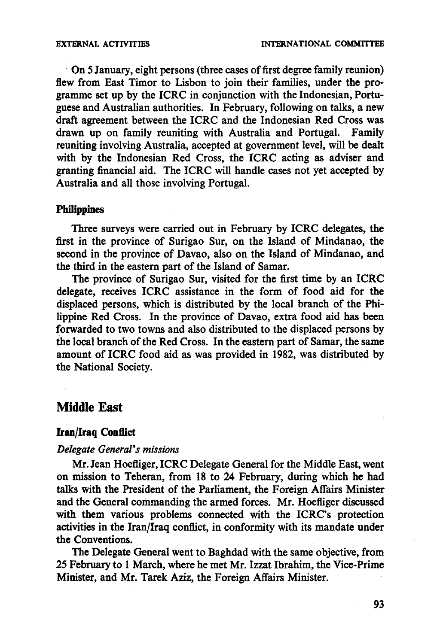On 5 January, eight persons (three cases of first degree family reunion) flew from East Timor to Lisbon to join their families, under the programme set up by the ICRC in conjunction with the Indonesian, Portuguese and Australian authorities. In February, following on talks, a new draft agreement between the ICRC and the Indonesian Red Cross was drawn up on family reuniting with Australia and Portugal. Family drawn up on family reuniting with Australia and Portugal. reuniting involving Australia, accepted at government level, will be dealt with by the Indonesian Red Cross, the ICRC acting as adviser and granting financial aid. The ICRC will handle cases not yet accepted by Australia and all those involving Portugal.

## Philippines

Three surveys were carried out in February by ICRC delegates, the first in the province of Surigao Sur, on the Island of Mindanao, the second in the province of Davao, also on the Island of Mindanao, and the third in the eastern part of the Island of Samar.

The province of Surigao Sur, visited for the first time by an ICRC delegate, receives ICRC assistance in the form of food aid for the displaced persons, which is distributed by the local branch of the Philippine Red Cross. In the province of Davao, extra food aid has been forwarded to two towns and also distributed to the displaced persons by the local branch of the Red Cross. In the eastern part of Samar, the same amount of ICRC food aid as was provided in 1982, was distributed by the National Society.

# **Middle East**

## **Iran/Iraq Conflict**

## *Delegate General's missions*

Mr. Jean Hoefliger, ICRC Delegate General for the Middle East, went on mission to Teheran, from 18 to 24 February, during which he had talks with the President of the Parliament, the Foreign Affairs Minister and the General commanding the armed forces. Mr. Hoefliger discussed with them various problems connected with the ICRC's protection activities in the Iran/Iraq conflict, in conformity with its mandate under the Conventions.

The Delegate General went to Baghdad with the same objective, from 25 February to 1 March, where he met Mr. Izzat Ibrahim, the Vice-Prime Minister, and Mr. Tarek Aziz, the Foreign Affairs Minister.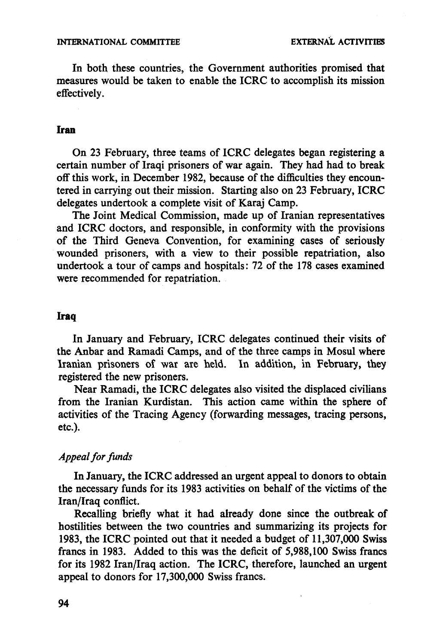In both these countries, the Government authorities promised that measures would be taken to enable the ICRC to accomplish its mission effectively.

#### **Iran**

On 23 February, three teams of ICRC delegates began registering a certain number of Iraqi prisoners of war again. They had had to break off this work, in December 1982, because of the difficulties they encountered in carrying out their mission. Starting also on 23 February, ICRC delegates undertook a complete visit of Karaj Camp.

The Joint Medical Commission, made up of Iranian representatives and ICRC doctors, and responsible, in conformity with the provisions of the Third Geneva Convention, for examining cases of seriously wounded prisoners, with a view to their possible repatriation, also undertook a tour of camps and hospitals: 72 of the 178 cases examined were recommended for repatriation.

#### **Iraq**

In January and February, ICRC delegates continued their visits of the Anbar and Ramadi Camps, and of the three camps in Mosul where Iranian prisoners of war are held. In addition, in February, they registered the new prisoners.

Near Ramadi, the ICRC delegates also visited the displaced civilians from the Iranian Kurdistan. This action came within the sphere of activities of the Tracing Agency (forwarding messages, tracing persons, etc.).

## *Appeal for funds*

In January, the ICRC addressed an urgent appeal to donors to obtain the necessary funds for its 1983 activities on behalf of the victims of the Iran/Iraq conflict.

Recalling briefly what it had already done since the outbreak of hostilities between the two countries and summarizing its projects for 1983, the ICRC pointed out that it needed a budget of 11,307,000 Swiss francs in 1983. Added to this was the deficit of 5,988,100 Swiss francs for its 1982 Iran/Iraq action. The ICRC, therefore, launched an urgent appeal to donors for 17,300,000 Swiss francs.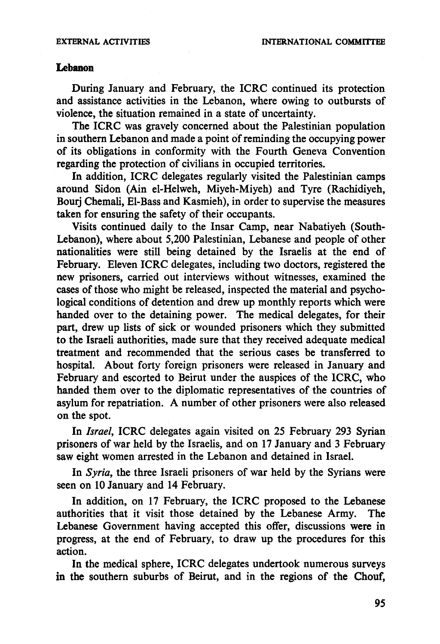### **Lebanon**

During January and February, the ICRC continued its protection and assistance activities in the Lebanon, where owing to outbursts of violence, the situation remained in a state of uncertainty.

The ICRC was gravely concerned about the Palestinian population in southern Lebanon and made a point of reminding the occupying power of its obligations in conformity with the Fourth Geneva Convention regarding the protection of civilians in occupied territories.

In addition, ICRC delegates regularly visited the Palestinian camps around Sidon (Ain el-Helweh, Miyeh-Miyeh) and Tyre (Rachidiyeh, Bourj Chemali, El-Bass and Kasmieh), in order to supervise the measures taken for ensuring the safety of their occupants.

Visits continued daily to the Insar Camp, near Nabatiyeh (South-Lebanon), where about 5,200 Palestinian, Lebanese and people of other nationalities were still being detained by the Israelis at the end of February. Eleven ICRC delegates, including two doctors, registered the new prisoners, carried out interviews without witnesses, examined the cases of those who might be released, inspected the material and psychological conditions of detention and drew up monthly reports which were handed over to the detaining power. The medical delegates, for their part, drew up lists of sick or wounded prisoners which they submitted to the Israeli authorities, made sure that they received adequate medical treatment and recommended that the serious cases be transferred to hospital. About forty foreign prisoners were released in January and February and escorted to Beirut under the auspices of the ICRC, who handed them over to the diplomatic representatives of the countries of asylum for repatriation. A number of other prisoners were also released on the spot.

In *Israel,* ICRC delegates again visited on 25 February 293 Syrian prisoners of war held by the Israelis, and on 17 January and 3 February saw eight women arrested in the Lebanon and detained in Israel.

In *Syria,* the three Israeli prisoners of war held by the Syrians were seen on 10 January and 14 February.

In addition, on 17 February, the ICRC proposed to the Lebanese authorities that it visit those detained by the Lebanese Army. The Lebanese Government having accepted this offer, discussions were in progress, at the end of February, to draw up the procedures for this action.

In the medical sphere, ICRC delegates undertook numerous surveys in the southern suburbs of Beirut, and in the regions of the Chouf,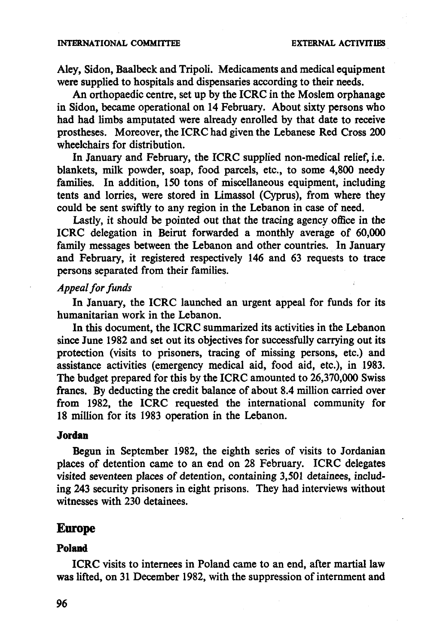#### **INTERNATIONAL COMMITTEE EXTERNAL ACTIVITIES**

Aley, Sidon, Baalbeck and Tripoli. Medicaments and medical equipment were supplied to hospitals and dispensaries according to their needs.

An orthopaedic centre, set up by the ICRC in the Moslem orphanage in Sidon, became operational on 14 February. About sixty persons who had had limbs amputated were already enrolled by that date to receive prostheses. Moreover, the ICRC had given the Lebanese Red Cross 200 wheelchairs for distribution.

In January and February, the ICRC supplied non-medical relief, i.e. blankets, milk powder, soap, food parcels, etc., to some 4,800 needy families. In addition, 150 tons of miscellaneous equipment, including tents and lorries, were stored in Limassol (Cyprus), from where they could be sent swiftly to any region in the Lebanon in case of need.

Lastly, it should be pointed out that the tracing agency office in the ICRC delegation in Beirut forwarded a monthly average of 60,000 family messages between the Lebanon and other countries. In January and February, it registered respectively 146 and 63 requests to trace persons separated from their families.

# *Appeal for funds*

In January, the ICRC launched an urgent appeal for funds for its humanitarian work in the Lebanon.

In this document, the ICRC summarized its activities in the Lebanon since June 1982 and set out its objectives for successfully carrying out its protection (visits to prisoners, tracing of missing persons, etc.) and assistance activities (emergency medical aid, food aid, etc.), in 1983. The budget prepared for this by the ICRC amounted to 26,370,000 Swiss francs. By deducting the credit balance of about 8.4 million carried over from 1982, the ICRC requested the international community for 18 million for its 1983 operation in the Lebanon.

#### **Jordan**

Begun in September 1982, the eighth series of visits to Jordanian places of detention came to an end on 28 February. ICRC delegates visited seventeen places of detention, containing 3,501 detainees, including 243 security prisoners in eight prisons. They had interviews without witnesses with 230 detainees.

## **Europe**

#### **Poland**

ICRC visits to internees in Poland came to an end, after martial law was lifted, on 31 December 1982, with the suppression of internment and